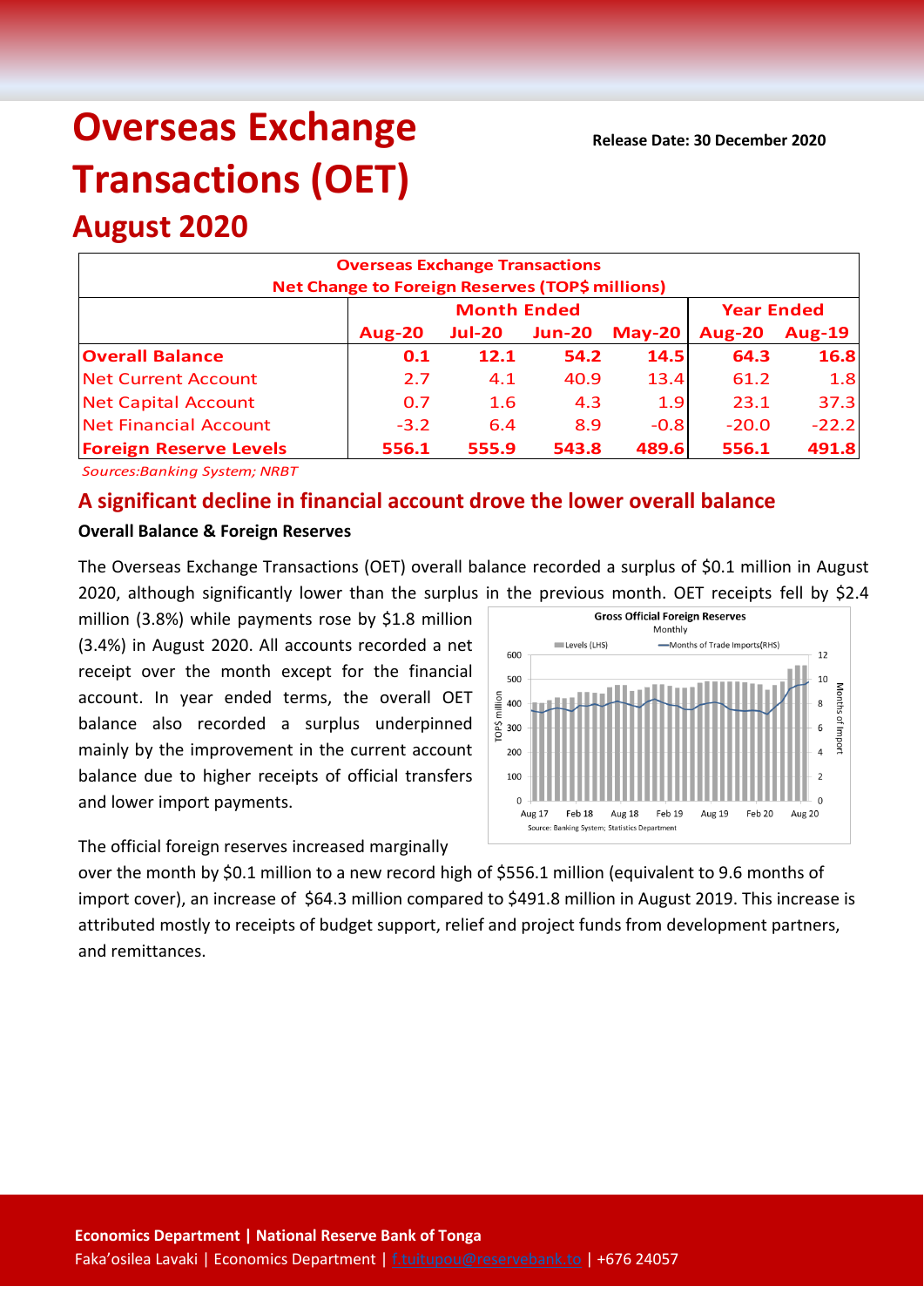**Release Date: 30 December 2020**

# **Overseas Exchange Transactions (OET)**

## **August 2020**

| <b>Overseas Exchange Transactions</b><br>Net Change to Foreign Reserves (TOP\$ millions) |               |                    |                   |          |               |               |  |  |
|------------------------------------------------------------------------------------------|---------------|--------------------|-------------------|----------|---------------|---------------|--|--|
|                                                                                          |               | <b>Month Ended</b> | <b>Year Ended</b> |          |               |               |  |  |
|                                                                                          | <b>Aug-20</b> | <b>Jul-20</b>      | <b>Jun-20</b>     | $May-20$ | <b>Aug-20</b> | <b>Aug-19</b> |  |  |
| <b>Overall Balance</b>                                                                   | 0.1           | 12.1               | 54.2              | 14.5     | 64.3          | 16.8          |  |  |
| <b>Net Current Account</b>                                                               | 2.7           | 4.1                | 40.9              | 13.4     | 61.2          | 1.8           |  |  |
| <b>Net Capital Account</b>                                                               | 0.7           | 1.6                | 4.3               | 1.9      | 23.1          | 37.3          |  |  |
| <b>Net Financial Account</b>                                                             | $-3.2$        | 6.4                | 8.9               | $-0.8$   | $-20.0$       | $-22.2$       |  |  |
| <b>Foreign Reserve Levels</b>                                                            | 556.1         | 555.9              | 543.8             | 489.6    | 556.1         | 491.8         |  |  |

*Sources:Banking System; NRBT*

### **A significant decline in financial account drove the lower overall balance**

#### **Overall Balance & Foreign Reserves**

The Overseas Exchange Transactions (OET) overall balance recorded a surplus of \$0.1 million in August 2020, although significantly lower than the surplus in the previous month. OET receipts fell by \$2.4

million (3.8%) while payments rose by \$1.8 million (3.4%) in August 2020. All accounts recorded a net receipt over the month except for the financial account. In year ended terms, the overall OET balance also recorded a surplus underpinned mainly by the improvement in the current account balance due to higher receipts of official transfers and lower import payments.



The official foreign reserves increased marginally

over the month by \$0.1 million to a new record high of \$556.1 million (equivalent to 9.6 months of import cover), an increase of \$64.3 million compared to \$491.8 million in August 2019. This increase is attributed mostly to receipts of budget support, relief and project funds from development partners, and remittances.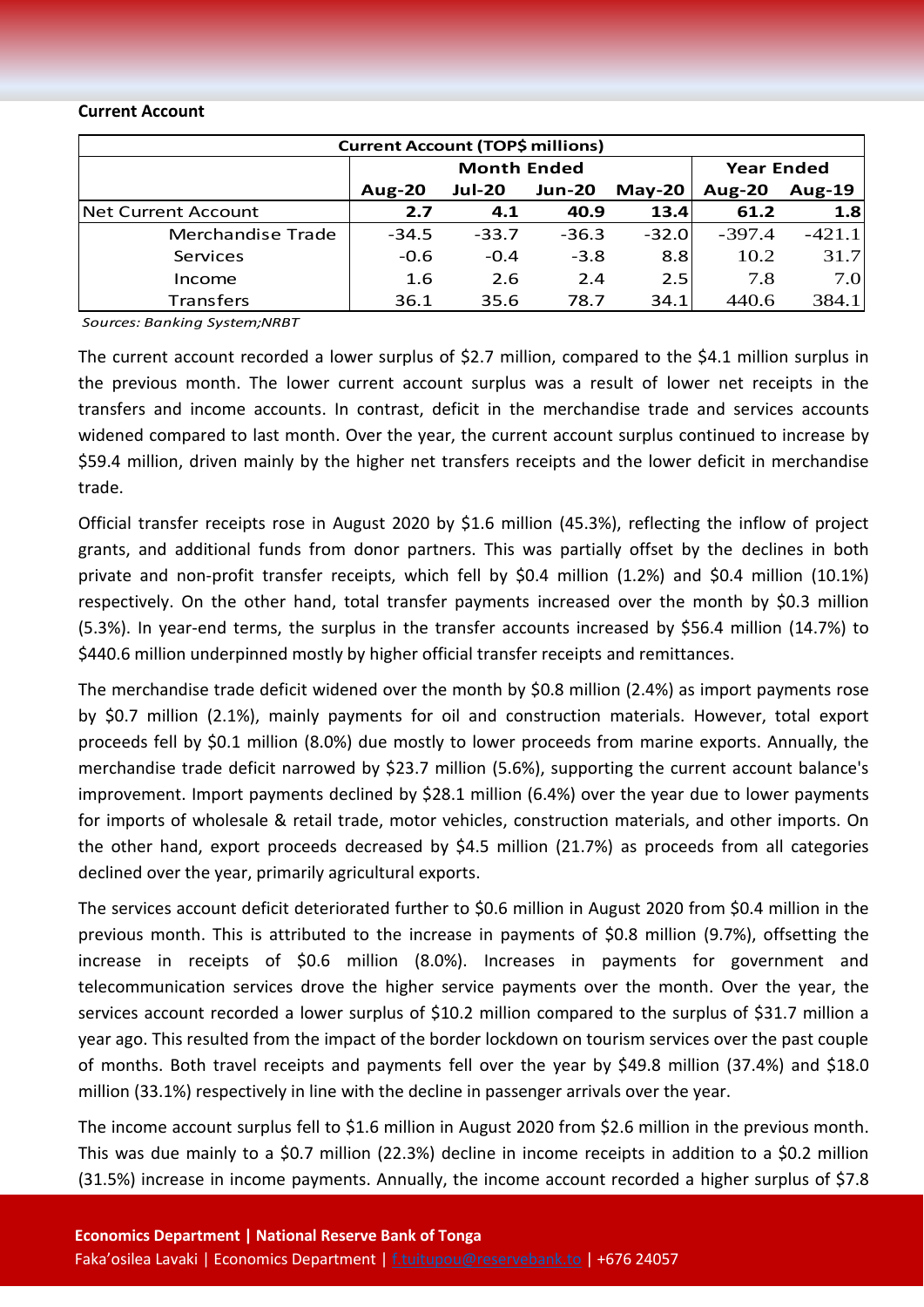#### **Current Account**

| <b>Current Account (TOP\$ millions)</b> |                    |               |               |          |                   |               |  |  |
|-----------------------------------------|--------------------|---------------|---------------|----------|-------------------|---------------|--|--|
|                                         | <b>Month Ended</b> |               |               |          | <b>Year Ended</b> |               |  |  |
|                                         | Aug- $20$          | <b>Jul-20</b> | <b>Jun-20</b> | $May-20$ | Aug-20            | <b>Aug-19</b> |  |  |
| <b>Net Current Account</b>              | 2.7                | 4.1           | 40.9          | 13.4     | 61.2              | 1.8           |  |  |
| Merchandise Trade                       | $-34.5$            | $-33.7$       | $-36.3$       | $-32.0$  | $-397.4$          | $-421.1$      |  |  |
| Services                                | $-0.6$             | $-0.4$        | $-3.8$        | 8.8      | 10.2              | 31.7          |  |  |
| Income                                  | 1.6                | 2.6           | 2.4           | 2.5      | 7.8               | 7.0           |  |  |
| <b>Transfers</b>                        | 36.1               | 35.6          | 78.7          | 34.1     | 440.6             | 384.1         |  |  |

*Sources: Banking System;NRBT*

The current account recorded a lower surplus of \$2.7 million, compared to the \$4.1 million surplus in the previous month. The lower current account surplus was a result of lower net receipts in the transfers and income accounts. In contrast, deficit in the merchandise trade and services accounts widened compared to last month. Over the year, the current account surplus continued to increase by \$59.4 million, driven mainly by the higher net transfers receipts and the lower deficit in merchandise trade.

Official transfer receipts rose in August 2020 by \$1.6 million (45.3%), reflecting the inflow of project grants, and additional funds from donor partners. This was partially offset by the declines in both private and non-profit transfer receipts, which fell by \$0.4 million (1.2%) and \$0.4 million (10.1%) respectively. On the other hand, total transfer payments increased over the month by \$0.3 million (5.3%). In year-end terms, the surplus in the transfer accounts increased by \$56.4 million (14.7%) to \$440.6 million underpinned mostly by higher official transfer receipts and remittances.

The merchandise trade deficit widened over the month by \$0.8 million (2.4%) as import payments rose by \$0.7 million (2.1%), mainly payments for oil and construction materials. However, total export proceeds fell by \$0.1 million (8.0%) due mostly to lower proceeds from marine exports. Annually, the merchandise trade deficit narrowed by \$23.7 million (5.6%), supporting the current account balance's improvement. Import payments declined by \$28.1 million (6.4%) over the year due to lower payments for imports of wholesale & retail trade, motor vehicles, construction materials, and other imports. On the other hand, export proceeds decreased by \$4.5 million (21.7%) as proceeds from all categories declined over the year, primarily agricultural exports.

The services account deficit deteriorated further to \$0.6 million in August 2020 from \$0.4 million in the previous month. This is attributed to the increase in payments of \$0.8 million (9.7%), offsetting the increase in receipts of \$0.6 million (8.0%). Increases in payments for government and telecommunication services drove the higher service payments over the month. Over the year, the services account recorded a lower surplus of \$10.2 million compared to the surplus of \$31.7 million a year ago. This resulted from the impact of the border lockdown on tourism services over the past couple of months. Both travel receipts and payments fell over the year by \$49.8 million (37.4%) and \$18.0 million (33.1%) respectively in line with the decline in passenger arrivals over the year.

The income account surplus fell to \$1.6 million in August 2020 from \$2.6 million in the previous month. This was due mainly to a \$0.7 million (22.3%) decline in income receipts in addition to a \$0.2 million (31.5%) increase in income payments. Annually, the income account recorded a higher surplus of \$7.8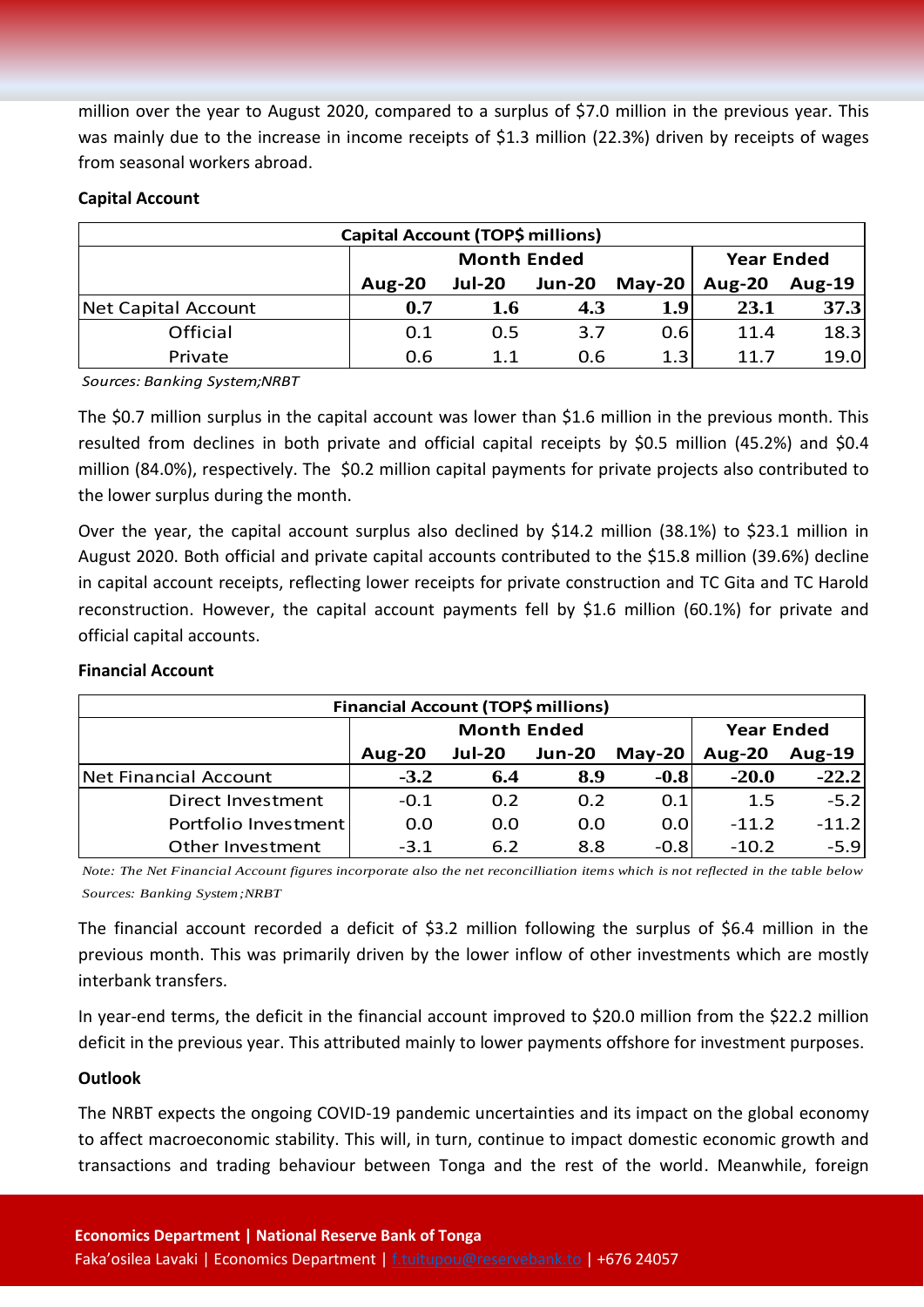million over the year to August 2020, compared to a surplus of \$7.0 million in the previous year. This was mainly due to the increase in income receipts of \$1.3 million (22.3%) driven by receipts of wages from seasonal workers abroad.

#### **Capital Account**

| <b>Capital Account (TOP\$ millions)</b> |               |                    |                   |                  |               |               |  |  |
|-----------------------------------------|---------------|--------------------|-------------------|------------------|---------------|---------------|--|--|
|                                         |               | <b>Month Ended</b> | <b>Year Ended</b> |                  |               |               |  |  |
|                                         | <b>Aug-20</b> | <b>Jul-20</b>      | <b>Jun-20</b>     | May-20           | <b>Aug-20</b> | <b>Aug-19</b> |  |  |
| Net Capital Account                     | 0.7           | 1.6                | 4.3               | 1.9 <sub>l</sub> | 23.1          | 37.3          |  |  |
| Official                                | 0.1           | 0.5                | 3.7               | 0.6              | 11.4          | 18.3          |  |  |
| Private                                 | 0.6           | 1.1                | 0.6               | 1.3              | 11.7          | 19.0          |  |  |

*Sources: Banking System;NRBT*

The \$0.7 million surplus in the capital account was lower than \$1.6 million in the previous month. This resulted from declines in both private and official capital receipts by \$0.5 million (45.2%) and \$0.4 million (84.0%), respectively. The \$0.2 million capital payments for private projects also contributed to the lower surplus during the month.

Over the year, the capital account surplus also declined by \$14.2 million (38.1%) to \$23.1 million in August 2020. Both official and private capital accounts contributed to the \$15.8 million (39.6%) decline in capital account receipts, reflecting lower receipts for private construction and TC Gita and TC Harold reconstruction. However, the capital account payments fell by \$1.6 million (60.1%) for private and official capital accounts.

| Financial Account (TOP\$ millions) |               |                    |                   |          |               |               |  |  |
|------------------------------------|---------------|--------------------|-------------------|----------|---------------|---------------|--|--|
|                                    |               | <b>Month Ended</b> | <b>Year Ended</b> |          |               |               |  |  |
|                                    | <b>Aug-20</b> | <b>Jul-20</b>      | <b>Jun-20</b>     | $May-20$ | <b>Aug-20</b> | <b>Aug-19</b> |  |  |
| Net Financial Account              | $-3.2$        | 6.4                | 8.9               | $-0.8$   | $-20.0$       | $-22.2$       |  |  |
| Direct Investment                  | $-0.1$        | 0.2                | 0.2               | 0.1      | 1.5           | $-5.2$        |  |  |
| Portfolio Investment               | 0.0           | 0.0                | 0.0               | 0.0      | $-11.2$       | $-11.2$       |  |  |
| Other Investment                   | $-3.1$        | 6.2                | 8.8               | $-0.8$   | $-10.2$       | $-5.9$        |  |  |

#### **Financial Account**

*Note: The Net Financial Account figures incorporate also the net reconcilliation items which is not reflected in the table below Sources: Banking System;NRBT*

The financial account recorded a deficit of \$3.2 million following the surplus of \$6.4 million in the previous month. This was primarily driven by the lower inflow of other investments which are mostly interbank transfers.

In year-end terms, the deficit in the financial account improved to \$20.0 million from the \$22.2 million deficit in the previous year. This attributed mainly to lower payments offshore for investment purposes.

#### **Outlook**

The NRBT expects the ongoing COVID-19 pandemic uncertainties and its impact on the global economy to affect macroeconomic stability. This will, in turn, continue to impact domestic economic growth and transactions and trading behaviour between Tonga and the rest of the world. Meanwhile, foreign